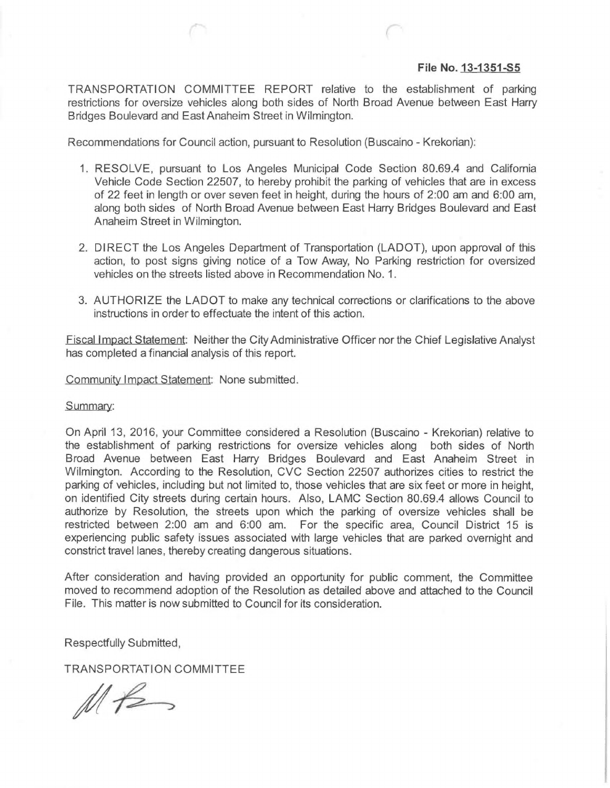## **File No. 13-1351-S5**

TRANSPORTATION COMMITTEE REPORT relative to the establishment of parking restrictions for oversize venicles along both sides of North Broad Avenue between East Harry Bridges Boulevard and East Anaheim Street in Wilmington.

Recommendations for Council action, pursuant to Resolution (Buscaino - Krekorian)

- 1. RESOLVE, pursuant to Los Angeles Municipal Code Section 80.69.4 and California Vehicle Code Section 22507, to hereby prohibit the parking of vehicles that are in excess of 22 feet in length or over seven feet in height, during the hours of 2:00 am and 6:00 am, along both sides of North Broad Avenue between East Harry Bridges Boulevard and East Anaheim Street in Wilmington.
- 2. DIRECT the Los Angeles Department of Transportation (LADOT), upon approval of this action, to post signs giving notice of a Tow Away, No Parking restriction for oversized vehicles on the streets listed above in Recommendation No. 1.
- 3. AUTHORIZE the LADOT to make any technical corrections or clarifications to the above instructions in order to effectuate the intent of this action.

Fiscal Impact Statement: Neither the City Administrative Officer nor the Chief Legislative Analyst has completed a financial analysis of this report.

Community Impact Statement: None submitted.

Summary:

On April 13, 2016, your Committee considered a Resolution (Buscaino - Krekorian) relative to the establishment of parking restrictions for oversize vehicles along both sides of North Broad Avenue between East Harry Bridges Boulevard and East Anaheim Street in Wilmington. According to the Resolution, CVC Section 22507 authorizes cities to restrict the parking of vehicles, including but not limited to, those vehicles that are six feet or more in height, on identified City streets during certain hours. Also, LAMC Section 80.69.4 allows Council to authorize by Resolution, the streets upon which the parking of oversize vehicles shall be restricted between 2:00 am and 6:00 am. For the specific area, Council District 15 is experiencing public safety issues associated with large vehicles that are parked overnight and constrict travel lanes, thereby creating dangerous situations.

After considerat'on and having provided an opportunity for public comment, the Committee moved to recommend adoption of the Resolution as detailed above and attached to the Council File. This matter is now submitted to Council for its consideration.

Respectfully Submitted,

TRANSPORTATION COMMITTEE

 $Mf2$